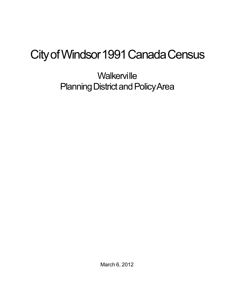## City of Windsor 1991 Canada Census

**Walkerville** Planning District and Policy Area

March 6, 2012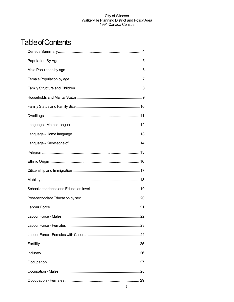## **Table of Contents**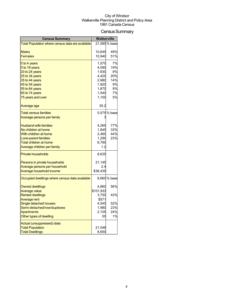## Census Summary

| <b>Census Summary</b>                            | <b>Walkerville</b> |               |
|--------------------------------------------------|--------------------|---------------|
| Total Population where census data are available |                    | 21,585 % base |
|                                                  |                    |               |
| <b>Males</b>                                     | 10,645             | 49%           |
| <b>Females</b>                                   | 10,940             | 51%           |
| 0 to 4 years                                     | 1,570              | 7%            |
| 5 to 19 years                                    | 4,090              | 19%           |
| 20 to 24 years                                   | 1,930              | 9%            |
| 25 to 34 years                                   | 4,420              | 20%           |
| 35 to 44 years                                   | 2,980              | 14%           |
| 45 to 54 years                                   | 1,920              | 9%            |
| 55 to 64 years                                   | 1,870              | 9%            |
| 65 to 74 years                                   | 1,540              | 7%            |
| 75 years and over                                | 1,150              | 5%            |
| Average age                                      | 35.2               |               |
| <b>Total census families</b>                     |                    | 5,575 % base  |
| Average persons per family                       |                    |               |
| <b>Husband-wife families</b>                     | 4,265              | 77%           |
| No children at home                              | 1,845              | 33%           |
| With children at home                            | 2,460              | 44%           |
| Lone-parent families                             | 1,290              | 23%           |
| Total children at home                           | 6,790              |               |
| Average children per family                      | 1.2                |               |
| <b>Private households</b>                        | 8,635              |               |
| Persons in private households                    | 21,145             |               |
| Average persons per household                    | 2.4                |               |
| Average household income                         | \$36,439           |               |
| Occupied dwellings where census data available   |                    | 8,660 % base  |
| <b>Owned dwellings</b>                           | 4,860              | 56%           |
| <b>Average value</b>                             | \$101,933          |               |
| <b>Rented dwellings</b>                          | 3,750              | 43%           |
| Average rent                                     | \$571              |               |
| Single detached houses                           | 4,545              | 52%           |
| Semi-detached/row/duplexes                       | 1,980              | 23%           |
| <b>Apartments</b>                                | 2,105              | 24%           |
| Other types of dwelling                          | 55                 | 1%            |
| Actual (unsuppressed) data:                      |                    |               |
| <b>Total Population</b>                          | 21,548             |               |
| <b>Total Dwellings</b>                           | 8,650              |               |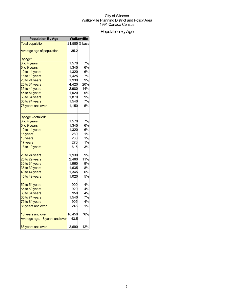## Population By Age

| <b>Population By Age</b>       | Walkerville |               |
|--------------------------------|-------------|---------------|
| <b>Total population</b>        |             | 21,585 % base |
| Average age of population      | 35.2        |               |
| By age:                        |             |               |
| 0 to 4 years                   | 1,570       | 7%            |
| 5 to 9 years                   | 1,345       | 6%            |
| 10 to 14 years                 | 1,320       | 6%            |
| 15 to 19 years                 | 1,425       | 7%            |
| 20 to 24 years                 | 1,930       | 9%            |
| 25 to 34 years                 | 4,420       | 20%           |
| 35 to 44 years                 | 2,980       | 14%           |
| 45 to 54 years                 | 1,920       | 9%            |
| 55 to 64 years                 | 1,870       | 9%            |
| 65 to 74 years                 | 1,540       | 7%            |
| 75 years and over              | 1,150       | 5%            |
| By age - detailed:             |             |               |
| 0 to 4 years                   | 1,570       | 7%            |
| 5 to 9 years                   | 1,345       | 6%            |
| 10 to 14 years                 | 1,320       | 6%            |
| 15 years                       | 280         | 1%            |
| 16 years                       | 260         | 1%            |
| 17 years                       | 270         | 1%            |
| 18 to 19 years                 | 615         | 3%            |
| 20 to 24 years                 | 1,930       | 9%            |
| 25 to 29 years                 | 2,460       | 11%           |
| 30 to 34 years                 | 1,960       | 9%            |
| 35 to 39 years                 | 1,635       | 8%            |
| 40 to 44 years                 | 1,345       | 6%            |
| 45 to 49 years                 | 1,020       | 5%            |
| 50 to 54 years                 | 900         | 4%            |
| 55 to 59 years                 | 920         | 4%            |
| 60 to 64 years                 | 950         | 4%            |
| 65 to 74 years                 | 1,540       | 7%            |
| 75 to 84 years                 | 905         | 4%            |
| 85 years and over              | 245         | 1%            |
| 18 years and over              | 16,450      | 76%           |
| Average age, 18 years and over | 43.5        |               |
| 65 years and over              | 2,690       | 12%           |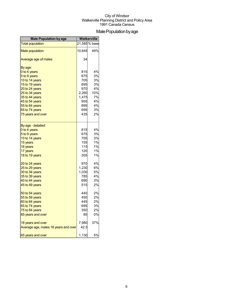## Male Population by age

| <b>Male Population by age</b>        | <b>Walkerville</b> |               |
|--------------------------------------|--------------------|---------------|
| <b>Total population</b>              |                    | 21,585 % base |
| <b>Male population</b>               | 10,645             | 49%           |
| Average age of males                 | 34                 |               |
| By age:                              |                    |               |
| 0 to 4 years                         | 815                | 4%            |
| 5 to 9 years                         | 675                | 3%            |
| 10 to 14 years                       | 705                | 3%            |
| 15 to 19 years                       | 695                | 3%            |
| 20 to 24 years                       | 970                | 4%            |
| 25 to 34 years                       | 2,260              | 10%           |
| 35 to 44 years                       | 1,475              | 7%            |
| 45 to 54 years                       | 955                | 4%            |
| 55 to 64 years                       | 895                | 4%            |
| 65 to 74 years                       | 695                | 3%            |
| 75 years and over                    | 435                | 2%            |
| By age - detailed:                   |                    |               |
| 0 to 4 years                         | 815                | 4%            |
| 5 to 9 years                         | 675                | 3%            |
| 10 to 14 years                       | 705                | 3%            |
| 15 years                             | 155                | 1%            |
| 16 years                             | 115                | 1%            |
| 17 years                             | 120                | 1%            |
| 18 to 19 years                       | 305                | 1%            |
| 20 to 24 years                       | 970                | 4%            |
| 25 to 29 years                       | 1,230              | 6%            |
| 30 to 34 years                       | 1,030              | <b>5%</b>     |
| 35 to 39 years                       | 785                | 4%            |
| 40 to 44 years                       | 690                | 3%            |
| 45 to 49 years                       | 515                | 2%            |
| 50 to 54 years                       | 440                | 2%            |
| 55 to 59 years                       | 450                | 2%            |
| 60 to 64 years                       | 445                | 2%            |
| 65 to 74 years                       | 695                | 3%            |
| 75 to 84 years                       | 350                | 2%            |
| 85 years and over                    | 85                 | 0%            |
| 18 years and over                    | 7,980              | 37%           |
| Average age, males 18 years and over | 42.5               |               |
| 65 years and over                    | 1,130              | 5%            |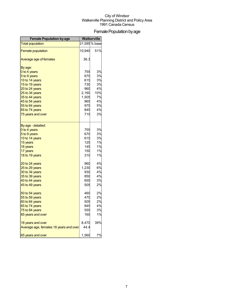## Female Population by age

| <b>Female Population by age</b>        | <b>Walkerville</b> |               |
|----------------------------------------|--------------------|---------------|
| <b>Total population</b>                |                    | 21,585 % base |
| <b>Female population</b>               | 10,940             | 51%           |
| Average age of females                 | 36.3               |               |
| By age:                                |                    |               |
| 0 to 4 years                           | 755                | 3%            |
| 5 to 9 years                           | 670                | 3%            |
| 10 to 14 years                         | 615                | 3%            |
| 15 to 19 years                         | 730                | 3%            |
| 20 to 24 years                         | 960                | 4%            |
| 25 to 34 years                         | 2,160              | 10%           |
| 35 to 44 years                         | 1,505              | 7%            |
| 45 to 54 years                         | 965                | 4%            |
| 55 to 64 years                         | 975                | 5%            |
| 65 to 74 years                         | 845                | 4%            |
| 75 years and over                      | 715                | 3%            |
| By age - detailed:                     |                    |               |
| 0 to 4 years                           | 755                | 3%            |
| 5 to 9 years                           | 670                | 3%            |
| 10 to 14 years                         | 615                | 3%            |
| 15 years                               | 125                | 1%            |
| 16 years                               | 145                | 1%            |
| 17 years                               | 150                | 1%            |
| 18 to 19 years                         | 310                | 1%            |
| 20 to 24 years                         | 960                | 4%            |
| 25 to 29 years                         | 1,230              | 6%            |
| 30 to 34 years                         | 930                | 4%            |
| 35 to 39 years                         | 850                | 4%            |
| 40 to 44 years                         | 655                | 3%            |
| 45 to 49 years                         | 505                | 2%            |
| 50 to 54 years                         | 460                | 2%            |
| 55 to 59 years                         | 470                | 2%            |
| 60 to 64 years                         | 505                | 2%            |
| 65 to 74 years                         | 845                | 4%            |
| 75 to 84 years                         | 555                | 3%            |
| 85 years and over                      | 160                | 1%            |
| 18 years and over                      | 8,470              | 39%           |
| Average age, females 18 years and over | 44.4               |               |
| 65 years and over                      | 1,560              | 7%            |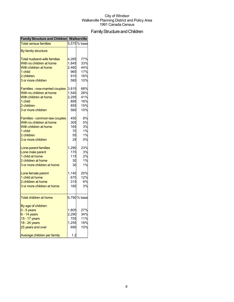## Family Structure and Children

| <b>Family Structure and Children Walkerville</b> |       |              |
|--------------------------------------------------|-------|--------------|
| <b>Total census families</b>                     |       | 5,575 % base |
| By family structure:                             |       |              |
| <b>Total husband-wife families</b>               | 4,265 | 77%          |
| With no children at home                         | 1,845 | 33%          |
| With children at home                            | 2,460 | 44%          |
| 1 child                                          | 965   | 17%          |
| 2 children                                       | 910   | 16%          |
| 3 or more children                               | 585   | 10%          |
|                                                  |       |              |
| Families - now-married couples                   | 3,815 | 68%          |
| With no children at home                         | 1,540 | 28%          |
| With children at home                            | 2,295 | 41%          |
| 1 child                                          | 895   | 16%          |
| 2 children                                       | 855   | 15%          |
| 3 or more children                               | 560   | 10%          |
|                                                  |       |              |
| Families - common-law couples                    | 450   | 8%           |
| With no children at home                         | 305   | 5%           |
| With children at home                            | 165   | 3%           |
| 1 child                                          | 70    | 1%           |
| 2 children                                       | 55    | 1%           |
| 3 or more children                               | 25    | 0%           |
| Lone-parent families                             | 1,290 | 23%          |
| Lone male parent                                 | 170   | 3%           |
| 1 child at home                                  | 115   | 2%           |
|                                                  |       |              |
| 2 children at home                               | 30    | 1%           |
| 3 or more children at home                       | 30    | 1%           |
| Lone female parent                               | 1,140 | 20%          |
| 1 child at home                                  | 670   | 12%          |
| 2 children at home                               | 315   | 6%           |
| 3 or more children at home                       | 160   | 3%           |
|                                                  |       |              |
| <b>Total children at home</b>                    |       | 6,790 % base |
|                                                  |       |              |
| By age of children:                              |       |              |
| $0 - 5$ years                                    | 1,805 | 27%          |
| $6 - 14$ years                                   | 2,290 | 34%          |
| 15 - 17 years                                    | 755   | 11%          |
| 18 - 24 years                                    | 1,255 | 18%          |
| 25 years and over                                | 690   | 10%          |
| Average children per family                      | 1.2   |              |
|                                                  |       |              |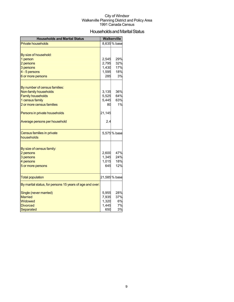## Households and Marital Status

| <b>Households and Marital Status</b>                     |        | <b>Walkerville</b> |
|----------------------------------------------------------|--------|--------------------|
| <b>Private households</b>                                |        | 8,635 % base       |
|                                                          |        |                    |
| By size of household:                                    |        |                    |
| 1 person                                                 | 2,545  | 29%                |
| 2 persons                                                | 2,795  | 32%                |
| 3 persons                                                | 1,430  | 17%                |
| 4 - 5 persons                                            | 1,595  | 18%                |
| 6 or more persons                                        | 285    | 3%                 |
|                                                          |        |                    |
| By number of census families:                            |        |                    |
| Non-family households                                    | 3,135  | 36%                |
| <b>Family households</b>                                 | 5,525  | 64%                |
| 1 census family                                          | 5,445  | 63%                |
| 2 or more census families                                | 80     | 1%                 |
| Persons in private households                            | 21,145 |                    |
| Average persons per household                            | 2.4    |                    |
| Census families in private                               |        | 5,575 % base       |
| households                                               |        |                    |
|                                                          |        |                    |
| By size of census family:                                |        |                    |
| 2 persons                                                | 2,600  | 47%                |
| 3 persons                                                | 1,345  | 24%                |
| 4 persons                                                | 1,015  | 18%                |
| 5 or more persons                                        | 645    | 12%                |
| <b>Total population</b>                                  |        | 21,585 % base      |
| By marital status, for persons 15 years of age and over: |        |                    |
| Single (never married)                                   | 5,955  | 28%                |
| <b>Married</b>                                           | 7,935  | 37%                |
| Widowed                                                  | 1,320  | 6%                 |
| <b>Divorced</b>                                          | 1,445  | 7%                 |
| Separated                                                | 650    | 3%                 |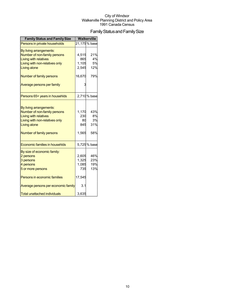## Family Status and Family Size

| <b>Family Status and Family Size</b>  | Walkerville |               |
|---------------------------------------|-------------|---------------|
| Persons in private households         |             | 21,175 % base |
| By living arrangements:               |             |               |
| Number of non-family persons          | 4,515       | 21%           |
| <b>Living with relatives</b>          | 865         | 4%            |
| Living with non-relatives only        | 1,105       | 5%            |
| <b>Living alone</b>                   | 2,545       | 12%           |
| Number of family persons              | 16,670      | 79%           |
| Average persons per family            |             |               |
| Persons 65+ years in househlds        |             | 2,710 % base  |
|                                       |             |               |
| By living arrangements:               |             |               |
| Number of non-family persons          | 1,170       | 43%           |
| <b>Living with relatives</b>          | 230         | 8%            |
| Living with non-relatives only        | 80          | 3%            |
| Living alone                          | 845         | 31%           |
| Number of family persons              | 1,565       | 58%           |
| <b>Economic families in househlds</b> |             | 5,725 % base  |
| By size of economic family:           |             |               |
| 2 persons                             | 2,605       | 46%           |
| 3 persons                             | 1,325       | 23%           |
| 4 persons                             | 1,085       | 19%           |
| 5 or more persons                     | 735         | 13%           |
| Persons in economic families          | 17,545      |               |
| Average persons per economic family   | 3.1         |               |
| <b>Total unattached individuals</b>   | 3,635       |               |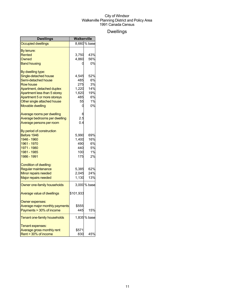## Dwellings

| <b>Dwellings</b>               | Walkerville |              |
|--------------------------------|-------------|--------------|
| <b>Occupied dwellings</b>      |             | 8,660 % base |
| By tenure:                     |             |              |
| Rented                         | 3,750       | 43%          |
| Owned                          | 4,860       | 56%          |
| <b>Band housing</b>            |             | 0%           |
| By dwelling type:              |             |              |
| Single-detached house          | 4,545       | 52%          |
| Semi-detached house            | 485         | 6%           |
| <b>Row house</b>               | 275         | 3%           |
| Apartment, detached duplex     | 1,220       | 14%          |
| Apartment less than 5 storey   | 1,620       | 19%          |
| Apartment 5 or more storeys    | 485         | 6%           |
| Other single attached house    | 55          | 1%           |
| <b>Movable dwelling</b>        |             | 0%           |
| Average rooms per dwelling     |             |              |
| Average bedrooms per dwelling  | 2.5         |              |
| Average persons per room       | 0.4         |              |
| By period of construction      |             |              |
| Before 1946                    | 5,990       | 69%          |
| 1946 - 1960                    | 1,400       | 16%          |
| 1961 - 1970                    | 490         | 6%           |
| 1971 - 1980                    | 440         | 5%           |
| 1981 - 1985                    | 100         | 1%           |
| 1986 - 1991                    | 175         | 2%           |
| Condition of dwelling:         |             |              |
| Regular maintenance            | 5,385       | 62%          |
| Minor repairs needed           | 2,045       | 24%          |
| Major repairs needed           | 1,130       | 13%          |
| Owner one-family households    |             | 3,000 % base |
| Average value of dwellings     | \$101,933   |              |
| Owner expenses:                |             |              |
| Average major monthly payments | \$555       |              |
| Payments > 30% of income       | 445         | 15%          |
| Tenant one-family households   |             | 1,835 % base |
| Tenant expenses:               |             |              |
| Average gross monthly rent     | \$571       |              |
| Rent > 30% of income           | 830         | 45%          |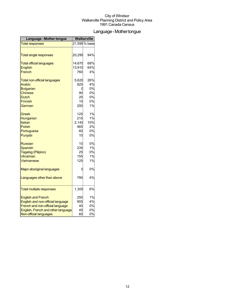## Language-Mothertongue

| Language - Mother tongue            | Walkerville |               |
|-------------------------------------|-------------|---------------|
| <b>Total responses</b>              |             | 21,595 % base |
|                                     |             |               |
| <b>Total single responses</b>       | 20,295      | 94%           |
| <b>Total official languages</b>     | 14,670      | 68%           |
| <b>English</b>                      | 13,910      | 64%           |
| French                              | 760         | 4%            |
| <b>Total non-official languages</b> | 5,620       | 26%           |
| <b>Arabic</b>                       | 925         | 4%            |
| <b>Bulgarian</b>                    | 0           | 0%            |
| <b>Chinese</b>                      | 90          | 0%            |
| Dutch                               | 20          | 0%            |
| <b>Finnish</b>                      | 10          | 0%            |
| German                              | 200         | 1%            |
| Greek                               | 125         | 1%            |
| Hungarian                           | 215         | 1%            |
| Italian                             | 2,140       | 10%           |
| <b>Polish</b>                       | 465         | 2%            |
| Portuguese                          | 60          | 0%            |
| Punjabi                             | 10          | 0%            |
| <b>Russian</b>                      | 10          | 0%            |
| <b>Spanish</b>                      | 235         | 1%            |
| Tagalog (Pilipino)                  | 25          | 0%            |
| <b>Ukrainian</b>                    | 155         | 1%            |
| Vietnamese                          | 125         | 1%            |
| Major aboriginal languages          | 0           | 0%            |
| Languages other than above          | 790         | 4%            |
| <b>Total multiple responses</b>     | 1,300       | 6%            |
| <b>English and French</b>           | 250         | 1%            |
| English and non-official language   | 905         | 4%            |
| French and non-official language    | 40          | 0%            |
| English, French and other language  | 45          | 0%            |
| Non-official languages              | 60          | 0%            |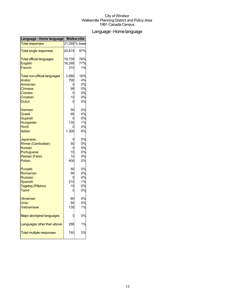## Language-Homelanguage

| Language - Home language            | Walkerville |               |
|-------------------------------------|-------------|---------------|
| <b>Total responses</b>              |             | 21,355 % base |
| <b>Total single responses</b>       | 20,615      | 97%           |
| <b>Total official languages</b>     | 16,705      | 78%           |
| <b>English</b>                      | 16,395      | 77%           |
| French                              | 310         | 1%            |
| <b>Total non-official languages</b> | 3,880       | 18%           |
| <b>Arabic</b>                       | 790         | 4%            |
| Armenian                            | C           | 0%            |
| <b>Chinese</b>                      | 95          | 0%            |
| <b>Creoles</b>                      |             | 0%            |
| Croatian                            | 10          | 0%            |
| <b>Dutch</b>                        | C           | 0%            |
| German                              | 50          | 0%            |
| Greek                               | 95          | 0%            |
| Gujarati                            |             | 0%            |
| Hungarian                           | 135         | 1%            |
| <b>Hindi</b>                        |             | 0%            |
| Italian                             | 1,300       | 6%            |
| Japanese                            |             | 0%            |
| Khmer (Cambodian)                   | 50          | 0%            |
| Korean                              |             | 0%            |
| Portuguese                          | 15          | 0%            |
| Persian (Farsi)                     | 10          | 0%            |
| <b>Polish</b>                       | 400         | 2%            |
| Punjabi                             | 50          | 0%            |
| Romanian                            | 50          | 0%            |
| <b>Russian</b>                      |             | 0%            |
| Spanish                             | 21C         | 1%            |
| Tagalog (Pilipino)                  | 10          | 0%            |
| Tamil                               | C           | 0%            |
| Ukrainian                           | 80          | 0%            |
| Urdu                                | 50          | 0%            |
| <b>Vietnamese</b>                   | 135         | 1%            |
| Major aboriginal languages          |             | 0%            |
| Languages other than above          | 290         | 1%            |
| <b>Total multiple responses</b>     | 740         | 3%            |
|                                     |             |               |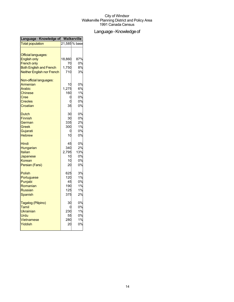## Language - Knowledge of

| Language - Knowledge of Walkerville |        |               |
|-------------------------------------|--------|---------------|
| <b>Total population</b>             |        | 21,585 % base |
| <b>Official languages:</b>          |        |               |
| <b>English only</b>                 | 18,860 | 87%           |
| <b>French only</b>                  | 70     | 0%            |
| <b>Both English and French</b>      | 1,750  | 8%            |
| <b>Neither English nor French</b>   | 710    | 3%            |
| Non-official languages:             |        |               |
| Armenian                            | 10     | 0%            |
| Arabic                              | 1,275  | 6%            |
| <b>Chinese</b>                      | 160    | 1%            |
| Cree                                | 0      | 0%            |
| <b>Creoles</b>                      |        | 0%            |
| Croatian                            | 35     | 0%            |
| <b>Dutch</b>                        | 30     | 0%            |
| <b>Finnish</b>                      | 30     | 0%            |
| German                              | 335    | 2%            |
| Greek                               | 300    | 1%            |
| Gujarati                            | C      | 0%            |
| <b>Hebrew</b>                       | 10     | 0%            |
| Hindi                               | 45     | 0%            |
| Hungarian                           | 340    | 2%            |
| <b>Italian</b>                      | 2,795  | 13%           |
| Japanese                            | 10     | 0%            |
| Korean                              | 10     | 0%            |
| Persian (Farsi)                     | 20     | 0%            |
| <b>Polish</b>                       | 625    | 3%            |
| Portuguese                          | 120    | 1%            |
| Punjabi                             | 45     | 0%            |
| Romanian                            | 190    | 1%            |
| <b>Russian</b>                      | 125    | 1%            |
| Spanish                             | 375    | 2%            |
| Tagalog (Pilipino)                  | 30     | 0%            |
| Tamil                               | C      | 0%            |
| Ukrainian                           | 230    | 1%            |
| Urdu                                | 55     | 0%            |
| Vietnamese                          | 280    | 1%            |
| Yiddish                             | 20     | 0%            |
|                                     |        |               |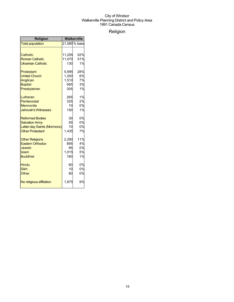## Religion

| <b>Religion</b>             | Walkerville |               |
|-----------------------------|-------------|---------------|
| <b>Total population</b>     |             | 21,585 % base |
|                             |             |               |
| Catholic                    | 11,205      | 52%           |
| <b>Roman Catholic</b>       | 11,070      | 51%           |
| <b>Ukrainian Catholic</b>   | 130         | 1%            |
| Protestant                  | 5,995       | 28%           |
| <b>United Church</b>        | 1,200       | 6%            |
| Anglican                    | 1,510       | 7%            |
| <b>Baptist</b>              | 565         | 3%            |
| Presbyterian                | 305         | 1%            |
| Lutheran                    | 265         | 1%            |
| Pentecostal                 | 325         | 2%            |
| <b>Mennonite</b>            | 10          | 0%            |
| <b>Jehovah's Witnesses</b>  | 150         | 1%            |
| <b>Reformed Bodies</b>      | 30          | 0%            |
| <b>Salvation Army</b>       | 55          | 0%            |
| Latter-day Saints (Mormons) | 10          | 0%            |
| <b>Other Protestant</b>     | 1,435       | 7%            |
| <b>Other Religions</b>      | 2,290       | 11%           |
| <b>Eastern Orthodox</b>     | 895         | 4%            |
| Jewish                      | 95          | 0%            |
| Islam                       | 1,015       | 5%            |
| <b>Buddhist</b>             | 160         | 1%            |
| <b>Hindu</b>                | 60          | 0%            |
| <b>Sikh</b>                 | 10          | 0%            |
| Other                       | 80          | 0%            |
| No religious affiliation    | 1,875       | 9%            |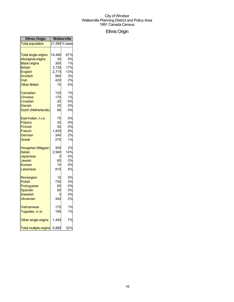## EthnicOrigin

| <b>Ethnic Origin</b>                                                      | Walkerville                     |                                   |
|---------------------------------------------------------------------------|---------------------------------|-----------------------------------|
| <b>Total population</b>                                                   |                                 | 21,585 % base                     |
| <b>Total single origins</b>                                               | 14,480                          | 67%                               |
| <b>Aboriginal origins</b>                                                 | 30                              | 0%                                |
| <b>Black origins</b>                                                      | 300                             | 1%                                |
| <b>British</b>                                                            | 3,735                           | 17%                               |
| English                                                                   | 2,715                           | 13%                               |
| Scottish                                                                  | 560                             | 3%                                |
| Irish                                                                     | 420                             | 2%                                |
| <b>Other British</b>                                                      | 10                              | 0%                                |
| Canadian                                                                  | 135                             | 1%                                |
| Chinese                                                                   | 170                             | 1%                                |
| Croatian                                                                  | 20                              | 0%                                |
| Danish                                                                    | 20                              | 0%                                |
| Dutch (Netherlands)                                                       | 60                              | 0%                                |
| East Indian, n.i.e.                                                       | 75                              | 0%                                |
| Filipino                                                                  | 30                              | 0%                                |
| Finnish                                                                   | 50                              | 0%                                |
| French                                                                    | 1,835                           | 9%                                |
| German                                                                    | 340                             | 2%                                |
| Greek                                                                     | 270                             | 1%                                |
| Hungarian (Magyar)<br>Italian<br>Japanese<br>Jewish<br>Korean<br>Lebanese | 355<br>2,940<br>60<br>10<br>910 | 2%<br>14%<br>0%<br>0%<br>0%<br>4% |
| Norwegian                                                                 | 10                              | 0%                                |
| Polish                                                                    | 730                             | 3%                                |
| Portuguese                                                                | 65                              | 0%                                |
| Spanish                                                                   | 90                              | 0%                                |
| Swedish                                                                   | C                               | 0%                                |
| Ukrainian                                                                 | 340                             | 2%                                |
| <b>Vietnamese</b>                                                         | 175                             | 1%                                |
| Yugoslav, n.i.e.                                                          | 195                             | 1%                                |
| Other single origins                                                      | 1,445                           | 7%                                |
| <b>Total multiple origins</b>                                             | 6,895                           | 32%                               |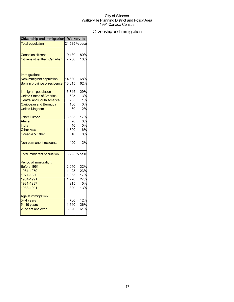## Citizenship and Immigration

| Citizenship and Immigration         | <b>Walkerville</b> |               |
|-------------------------------------|--------------------|---------------|
| <b>Total population</b>             |                    | 21,585 % base |
|                                     |                    |               |
| <b>Canadian citizens</b>            | 19,130             | 89%           |
| <b>Citizens other than Canadian</b> | 2,230              | 10%           |
|                                     |                    |               |
| Immigration:                        |                    |               |
| Non-immigrant population            | 14,680             | 68%           |
| Born in province of residence       | 13,315             | 62%           |
| Immigrant population                | 6,345              | 29%           |
| <b>United States of America</b>     | 605                | 3%            |
| <b>Central and South America</b>    | 205                | 1%            |
| Caribbean and Bermuda               | 100                | 0%            |
| <b>United Kingdom</b>               | 460                | 2%            |
| <b>Other Europe</b>                 | 3,595              | 17%           |
| Africa                              | 20                 | 0%            |
| India                               | 40                 | 0%            |
| <b>Other Asia</b>                   | 1,300              | 6%            |
| Oceania & Other                     | 10                 | 0%            |
| Non-permanent residents             | 400                | 2%            |
| <b>Total immigrant population</b>   |                    | 6,295 % base  |
| Period of immigration:              |                    |               |
| Before 1961                         | 2,040              | 32%           |
| 1961-1970                           | 1,425              | 23%           |
| 1971-1980                           | 1,065              | 17%           |
| 1981-1991                           | 1,720              | 27%           |
| 1981-1987                           | 915                | 15%           |
| 1988-1991                           | 820                | 13%           |
| Age at immigration:                 |                    |               |
| $0 - 4$ years                       | 780                | 12%           |
| 5 - 19 years                        | 1,640              | 26%           |
| 20 years and over                   | 3,820              | 61%           |
|                                     |                    |               |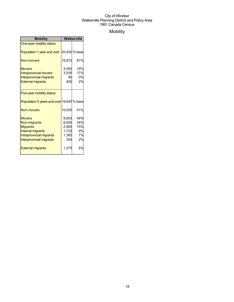## Mobility

| <b>Mobility</b>                           | Walkerville |               |
|-------------------------------------------|-------------|---------------|
| One-year mobility status:                 |             |               |
| Population 1 year and over                |             | 20,930 % base |
| <b>Non-movers</b>                         | 16,870      | 81%           |
| <b>Movers</b>                             | 4,050       | 19%           |
| <b>Intraprovincial movers</b>             | 3,535       | 17%           |
| <b>Interprovincial migrants</b>           | 90          | 0%            |
| <b>External migrants</b>                  | 400         | 2%            |
|                                           |             |               |
| Five-year mobility status:                |             |               |
| Population 5 years and over 19,645 % base |             |               |
| Non-movers                                | 10,005      | 51%           |
| <b>Movers</b>                             | 9,655       | 49%           |
| Non-migrants                              | 6,655       | 34%           |
| <b>Migrants</b>                           | 2,995       | 15%           |
| Internal migrants                         | 1,725       | 9%            |
| Intraprovincial migrants                  | 1,385       | 7%            |
| Interprovincial migrants                  | 355         | 2%            |
| <b>External migrants</b>                  | 1,275       | 6%            |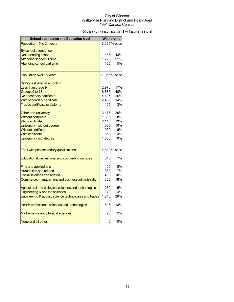## School attendance and Education level

| <b>School attendance and Education level</b>          |       | Walkerville   |
|-------------------------------------------------------|-------|---------------|
| Population 15 to 24 years                             |       | 3,365 % base  |
| By school attendance:                                 |       |               |
| Not attending school                                  | 1,435 | 43%           |
| <b>Attending school full time</b>                     | 1,720 | 51%           |
| Attending school part time                            | 185   | 5%            |
| Population over 15 years                              |       | 17,065 % base |
| By highest level of schooling:                        |       |               |
| Less than grade 9                                     | 2,970 | 17%           |
| Grades 9 to 13                                        | 6,885 | 40%           |
| No secondary certificate                              | 4,435 | 26%           |
| With secondary certificate                            | 2,450 | 14%           |
| Trades certificate or diploma                         | 455   | 3%            |
| Other non-university                                  | 3,475 | 20%           |
| <b>Without certificate</b>                            | 1,335 | 8%            |
| With certificate                                      | 2,140 | 13%           |
| University - without degree                           | 1,625 | 10%           |
| <b>Without certificate</b>                            | 950   | 6%            |
| <b>With certificate</b>                               | 660   | 4%            |
| University - with degree                              | 1,580 | 9%            |
| Total with postsecondary qualifications               |       | 4,840 % base  |
| Educational, recreational and counselling services    | 345   | 7%            |
| <b>Fine and applied arts</b>                          | 405   | 8%            |
| <b>Humanities and related</b>                         | 330   | 7%            |
| Social sciences and related                           | 460   | 10%           |
| Commerce, management and business administration      | 855   | 18%           |
| Agricultural and biological sciences and technologies | 230   | 5%            |
| <b>Engineering &amp; applied sciences</b>             | 170   | 4%            |
| Engineering & applied science technologies and trades | 1,240 | 26%           |
| Health professions, sciences and technologies         | 605   | 13%           |
| Mathematics and physical sciences                     | 90    | 2%            |
| None and all other                                    | 0     | 0%            |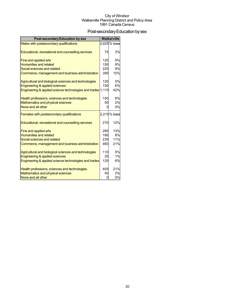## Post-secondary Education by sex

| <b>Post-secondary Education by sex</b>                      |     | <b>Walkerville</b> |
|-------------------------------------------------------------|-----|--------------------|
| Males with postsecondary qualifications                     |     | 2,625% base        |
| Educational, recreational and counselling services          | 75  | 3%                 |
|                                                             |     |                    |
| Fine and applied arts                                       | 120 | 5%                 |
| <b>Humanities and related</b>                               | 150 | 6%                 |
| Social sciences and related                                 | 225 | 9%                 |
| Commerce, management and business administration            | 395 | 15%                |
| Agricultural and biological sciences and technologies       | 120 | 5%                 |
| <b>Engineering &amp; applied sciences</b>                   | 150 | 6%                 |
| Engineering & applied science technologies and trades 1,115 |     | 42%                |
| Health professions, sciences and technologies               | 150 | 6%                 |
| Mathematics and physical sciences                           | 50  | 2%                 |
| None and all other                                          | U   | 0%                 |
| Females with postsecondary qualifications                   |     | 2,215% base        |
| Educational, recreational and counselling services          | 270 | 12%                |
| Fine and applied arts                                       | 285 | 13%                |
| <b>Humanities and related</b>                               | 180 | 8%                 |
| Social sciences and related                                 | 235 | 11%                |
| Commerce, management and business administration            | 460 | 21%                |
| Agricultural and biological sciences and technologies       | 110 | 5%                 |
| Engineering & applied sciences                              | 20  | 1%                 |
| Engineering & applied science technologies and trades       | 125 | 6%                 |
| Health professions, sciences and technologies               | 455 | 21%                |
| Mathematics and physical sciences                           | 40  | 2%                 |
| None and all other                                          | O   | 0%                 |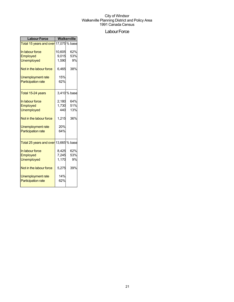## Labour Force

| <b>Labour Force</b>                                | Walkerville |              |  |
|----------------------------------------------------|-------------|--------------|--|
| Total 15 years and over 17,075 % base              |             |              |  |
| In labour force                                    | 10,605      | 62%          |  |
| <b>Employed</b>                                    | 9,015       | 53%          |  |
| <b>Unemployed</b>                                  | 1,590       | 9%           |  |
| Not in the labour force                            | 6,465       | 38%          |  |
| <b>Unemployment rate</b>                           | 15%         |              |  |
| <b>Participation rate</b>                          | 62%         |              |  |
| Total 15-24 years                                  |             | 3,410 % base |  |
| In labour force                                    | 2,180       | 64%          |  |
| Employed                                           | 1,730       | 51%          |  |
| <b>Unemployed</b>                                  | 440         | 13%          |  |
| Not in the labour force                            | 1,215       | 36%          |  |
| <b>Unemployment rate</b>                           | 20%         |              |  |
| <b>Participation rate</b>                          | 64%         |              |  |
| <mark>Total 25 years and over</mark> 13,665 % base |             |              |  |
| In labour force                                    | 8,425       | 62%          |  |
| Employed                                           | 7,245       | 53%          |  |
| <b>Unemployed</b>                                  | 1,170       | 9%           |  |
| Not in the labour force                            | 5,275       | 39%          |  |
| Unemployment rate                                  | 14%         |              |  |
| <b>Participation rate</b>                          | 62%         |              |  |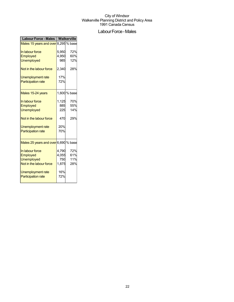## Labour Force - Males

| <b>Labour Force - Males</b>          | <b>Walkerville</b> |              |
|--------------------------------------|--------------------|--------------|
| Males 15 years and over 8,295 % base |                    |              |
| In labour force                      | 5,950              | 72%          |
| Employed                             | 4,950              | 60%          |
| <b>Unemployed</b>                    | 985l               | 12%          |
| Not in the labour force              | 2,340              | 28%          |
| Unemployment rate                    | 17%                |              |
| <b>Participation rate</b>            | 72%                |              |
| Males 15-24 years                    |                    | 1,600 % base |
| In labour force                      | 1,125              | 70%          |
| Employed                             | 885                | 55%          |
| <b>Unemployed</b>                    | 225                | 14%          |
| Not in the labour force              | 470                | 29%          |
| Unemployment rate                    | 20%                |              |
| <b>Participation rate</b>            | 70%                |              |
| Males 25 years and over 6,690 % base |                    |              |
| In labour force                      | 4,790              | 72%          |
| Employed                             | 4,055              | 61%          |
| <b>Unemployed</b>                    | 750                | 11%          |
| Not in the labour force              | 1,875              | 28%          |
| Unemployment rate                    | 16%                |              |
| <b>Participation rate</b>            | 72%                |              |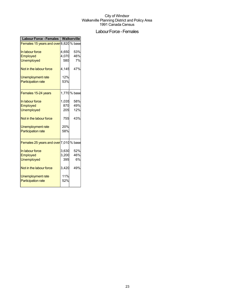## Labour Force - Females

| <b>Labour Force - Females</b>          | Walkerville |              |
|----------------------------------------|-------------|--------------|
| Females 15 years and over 8,820 % base |             |              |
| In labour force                        | 4,650       | 53%          |
| Employed                               | 4,070       | 46%          |
| <b>Unemployed</b>                      | 580         | 7%           |
| Not in the labour force                | 4,145       | 47%          |
| Unemployment rate                      | 12%         |              |
| <b>Participation rate</b>              | 53%         |              |
| Females 15-24 years                    |             | 1,770 % base |
| In labour force                        | 1,035       | 58%          |
| Employed                               | 870         | 49%          |
| <b>Unemployed</b>                      | 205         | 12%          |
| Not in the labour force                | 755         | 43%          |
| <b>Unemployment rate</b>               | 20%         |              |
| <b>Participation rate</b>              | 58%         |              |
| Females 25 years and over 7,010 % base |             |              |
| In labour force                        | 3,630       | 52%          |
| Employed                               | 3,200       | 46%          |
| <b>Unemployed</b>                      | 395         | 6%           |
| Not in the labour force                | 3,420       | 49%          |
| <b>Unemployment rate</b>               | 11%         |              |
| <b>Participation rate</b>              | 52%         |              |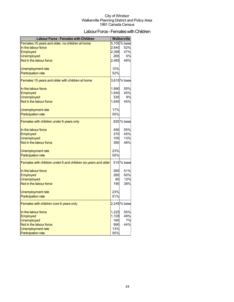## Labour Force - Females with Children

| <b>Labour Force - Females with Children</b>                    |       | <b>Walkerville</b> |
|----------------------------------------------------------------|-------|--------------------|
| Females, 15 years and older, no children at home               |       | 5,105% base        |
| In the labour force                                            | 2,640 | 52%                |
| Employed                                                       | 2,395 | 47%                |
| <b>Unemployed</b>                                              | 265   | 5%                 |
| Not in the labour force                                        | 2,465 | 48%                |
|                                                                |       |                    |
| Unemployment rate                                              | 10%   |                    |
| <b>Participation rate</b>                                      | 52%   |                    |
|                                                                |       | 3,610% base        |
| Females 15 years and older with children at home               |       |                    |
| In the labour force                                            | 1,990 | 55%                |
| <b>Employed</b>                                                | 1,640 | 45%                |
| <b>Unemployed</b>                                              | 335   | 9%                 |
| Not in the labour force                                        | 1,640 | 45%                |
|                                                                |       |                    |
| Unemployment rate                                              | 17%   |                    |
| <b>Participation rate</b>                                      | 55%   |                    |
| Females with children under 6 years only                       |       | 820 % base         |
| In the labour force                                            | 450   | 55%                |
| Employed                                                       | 370   | 45%                |
| <b>Unemployed</b>                                              | 105   | 13%                |
| Not in the labour force                                        | 390   | 48%                |
|                                                                |       |                    |
| Unemployment rate                                              | 23%   |                    |
| <b>Participation rate</b>                                      | 55%   |                    |
| Females with children under 6 and children six years and older |       | 515 % base         |
| In the labour force                                            | 265   | 51%                |
| Employed                                                       | 260   | 50%                |
| <b>Unemployed</b>                                              | 60    | 12%                |
| Not in the labour force                                        | 195   | 38%                |
| Unemployment rate                                              | 23%   |                    |
| <b>Participation rate</b>                                      | 51%   |                    |
|                                                                |       |                    |
| Females with children over 6 years only                        |       | 2,245% base        |
| In the labour force                                            | 1,225 | 55%                |
| Employed                                                       | 1,105 | 49%                |
| <b>Unemployed</b>                                              | 160   | 7%                 |
| Not in the labour force                                        | 990   | 44%                |
| Unemployment rate                                              | 13%   |                    |
| <b>Participation rate</b>                                      | 55%   |                    |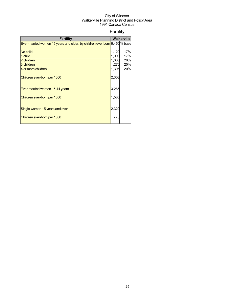## Fertility

| <b>Fertility</b>                                                          |       | <b>Walkerville</b> |
|---------------------------------------------------------------------------|-------|--------------------|
| Ever-married women 15 years and older, by children ever born 6,450 % base |       |                    |
|                                                                           |       |                    |
| No child                                                                  | 1,120 | 17%                |
| 1 child                                                                   | 1,090 | 17%                |
| 2 children                                                                | 1,680 | 26%                |
| 3 children                                                                | 1,270 | 20%                |
| 4 or more children                                                        | 1,305 | 20%                |
| Children ever-born per 1000                                               | 2,308 |                    |
| Ever-married women 15-44 years                                            | 3,265 |                    |
| Children ever-born per 1000                                               | 1,580 |                    |
| Single women 15 years and over                                            | 2,320 |                    |
| Children ever-born per 1000                                               | 273   |                    |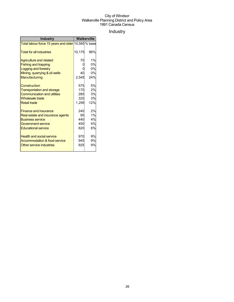## Industry

| <b>Industry</b>                                     | Walkerville |     |
|-----------------------------------------------------|-------------|-----|
| Total labour force 15 years and older 10,565 % base |             |     |
| <b>Total for all industries</b>                     | 10,175      | 96% |
| <b>Agriculture and related</b>                      | 70          | 1%  |
| <b>Fishing and trapping</b>                         |             | 0%  |
| Logging and forestry                                |             | 0%  |
| Mining, quarrying & oil wells                       | 40          | 0%  |
| Manufacturing                                       | 2,545       | 24% |
| Construction                                        | 575         | 5%  |
| <b>Transportation and storage</b>                   | 170         | 2%  |
| <b>Communication and utilities</b>                  | 285         | 3%  |
| <b>Wholesale trade</b>                              | 325         | 3%  |
| <b>Retail trade</b>                                 | 1,295       | 12% |
| <b>Finance and insurance</b>                        | 240         | 2%  |
| Real estate and insurance agents                    | 95          | 1%  |
| <b>Business service</b>                             | 440         | 4%  |
| <b>Government service</b>                           | 450         | 4%  |
| <b>Educational service</b>                          | 620         | 6%  |
| <b>Health and social service</b>                    | 970         | 9%  |
| Accommodation & food service                        | 945         | 9%  |
| Other service industries                            | 925         | 9%  |
|                                                     |             |     |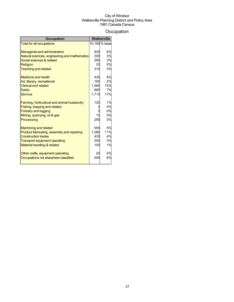## **Occupation**

| 10,160 % base<br><b>Total for all occupations</b><br>8%<br>835<br><b>Managerial and administrative</b><br>3%<br>Natural sciences, engineering and mathematics<br>355<br>Social sciences & related<br>3%<br>290<br>0%<br>20<br><b>Religion</b><br>310<br><b>Teaching and related</b><br>3%<br>4%<br>430<br>Medicine and health |
|-------------------------------------------------------------------------------------------------------------------------------------------------------------------------------------------------------------------------------------------------------------------------------------------------------------------------------|
|                                                                                                                                                                                                                                                                                                                               |
|                                                                                                                                                                                                                                                                                                                               |
|                                                                                                                                                                                                                                                                                                                               |
|                                                                                                                                                                                                                                                                                                                               |
|                                                                                                                                                                                                                                                                                                                               |
|                                                                                                                                                                                                                                                                                                                               |
|                                                                                                                                                                                                                                                                                                                               |
|                                                                                                                                                                                                                                                                                                                               |
| 2%<br>160<br>Art, literary, recreational                                                                                                                                                                                                                                                                                      |
| <b>Clerical and related</b><br>1,560<br>15%                                                                                                                                                                                                                                                                                   |
| 665<br>7%<br>Sales                                                                                                                                                                                                                                                                                                            |
| 1,715<br>17%<br>Service                                                                                                                                                                                                                                                                                                       |
| 120<br>1%<br>Farming, horticultural and animal husbandry                                                                                                                                                                                                                                                                      |
| 0%<br>Fishing, trapping and related                                                                                                                                                                                                                                                                                           |
| 0%<br><b>Forestry and logging</b>                                                                                                                                                                                                                                                                                             |
| 0%<br>Mining, quarrying, oil & gas<br>10                                                                                                                                                                                                                                                                                      |
| Processing<br>295<br>3%                                                                                                                                                                                                                                                                                                       |
| 5%<br>555<br><b>Machining and related</b>                                                                                                                                                                                                                                                                                     |
| 11%<br>1,080<br>Product fabricating, assembly and repairing                                                                                                                                                                                                                                                                   |
| <b>Construction trades</b><br>435<br>4%                                                                                                                                                                                                                                                                                       |
| 3%<br>305<br><b>Transport equipment operating</b>                                                                                                                                                                                                                                                                             |
| 1%<br>Material handling & related<br>105                                                                                                                                                                                                                                                                                      |
| 0%<br>Other crafts, equipment operating<br>20                                                                                                                                                                                                                                                                                 |
| 6%<br>595<br>Occupations not elsewhere classified                                                                                                                                                                                                                                                                             |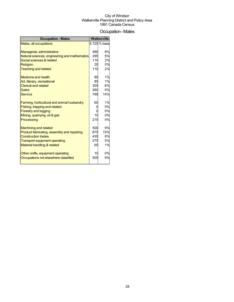### Occupation-Males

| <b>Occupation - Males</b>                     |     | Walkerville  |
|-----------------------------------------------|-----|--------------|
| Males, all occupations                        |     | 5,725 % base |
|                                               |     |              |
| Managerial, administrative                    | 480 | 8%           |
| Natural sciences, engineering and mathematics | 295 | 5%           |
| Social sciences & related                     | 110 | 2%           |
| Religion                                      | 20  | 0%           |
| <b>Teaching and related</b>                   | 110 | 2%           |
| <b>Medicine and health</b>                    | 85  | 1%           |
| Art, literary, recreational                   | 85  | 1%           |
| <b>Clerical and related</b>                   | 355 | 6%           |
| <b>Sales</b>                                  | 260 | 5%           |
| <b>Service</b>                                | 795 | 14%          |
| Farming, horticultural and animal husbandry   | 60  | 1%           |
| Fishing, trapping and related                 |     | 0%           |
| <b>Forestry and logging</b>                   |     | 0%           |
| Mining, quarrying, oil & gas                  | 10  | 0%           |
| Processing                                    | 215 | 4%           |
| <b>Machining and related</b>                  | 500 | 9%           |
| Product fabricating, assembly and repairing   | 875 | 15%          |
| <b>Construction trades</b>                    | 435 | 8%           |
| <b>Transport equipment operating</b>          | 275 | 5%           |
| Material handling & related                   | 65  | 1%           |
| Other crafts, equipment operating             | 10  | 0%           |
| Occupations not elsewhere classified          | 505 | 9%           |
|                                               |     |              |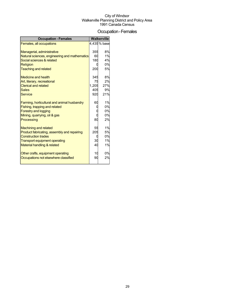### Occupation-Females

| <b>Occupation - Females</b>                   |       | Walkerville |
|-----------------------------------------------|-------|-------------|
| Females, all occupations                      |       | 4,435% base |
|                                               |       |             |
| Managerial, administrative                    | 355   | 8%          |
| Natural sciences, engineering and mathematics | 60    | 1%          |
| Social sciences & related                     | 180   | 4%          |
| <b>Religion</b>                               |       | 0%          |
| <b>Teaching and related</b>                   | 200   | 5%          |
| <b>Medicine and health</b>                    | 345   | 8%          |
| Art, literary, recreational                   | 75    | 2%          |
| <b>Clerical and related</b>                   | 1,205 | 27%         |
| <b>Sales</b>                                  | 405   | 9%          |
| <b>Service</b>                                | 920   | 21%         |
| Farming, horticultural and animal husbandry   | 60    | 1%          |
| Fishing, trapping and related                 |       | 0%          |
| <b>Forestry and logging</b>                   |       | 0%          |
| Mining, quarrying, oil & gas                  |       | 0%          |
| Processing                                    | 80    | 2%          |
| <b>Machining and related</b>                  | 55    | 1%          |
| Product fabricating, assembly and repairing   | 205   | 5%          |
| <b>Construction trades</b>                    |       | 0%          |
| <b>Transport equipment operating</b>          | 30    | 1%          |
| Material handling & related                   | 40    | 1%          |
| Other crafts, equipment operating             | 10    | 0%          |
| Occupations not elsewhere classified          | 90    | 2%          |
|                                               |       |             |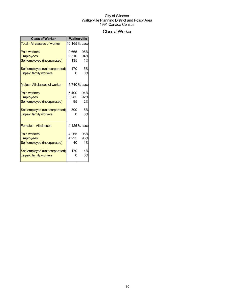## ClassofWorker

| <b>Class of Worker</b>               | Walkerville |               |  |
|--------------------------------------|-------------|---------------|--|
| <b>Total - All classes of worker</b> |             | 10,165 % base |  |
| <b>Paid workers</b>                  | 9,665       | 95%           |  |
| <b>Employees</b>                     | 9,510       | 94%           |  |
| Self-employed (incorporated)         | 135         | 1%            |  |
| Self-employed (unincorporated)       | 470         | 5%            |  |
| <b>Unpaid family workers</b>         |             | 0%            |  |
| Males - All classes of worker        |             | 5,740 % base  |  |
| <b>Paid workers</b>                  | 5.400       | 94%           |  |
| <b>Employees</b>                     | 5,285       | 92%           |  |
| Self-employed (incorporated)         | 95          | 2%            |  |
| Self-employed (unincorporated)       | 300         | 5%            |  |
| <b>Unpaid family workers</b>         |             | 0%            |  |
| <b>Females - All classes</b>         |             | 4,425% base   |  |
| <b>Paid workers</b>                  | 4,265       | 96%           |  |
| <b>Employees</b>                     | 4,225       | 95%           |  |
| Self-employed (incorporated)         | 40          | 1%            |  |
| Self-employed (unincorporated)       | 170         | 4%            |  |
| <b>Unpaid family workers</b>         |             | 0%            |  |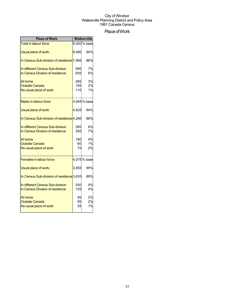## Place of Work

| <b>Place of Work</b>                                                |            | <b>Walkerville</b> |
|---------------------------------------------------------------------|------------|--------------------|
| <b>Total in labour force</b>                                        |            | 9,020 % base       |
| Usual place of work:                                                | 8,480      | 94%                |
| In Census Sub-division of residence <sup>[</sup> 7,895]             |            | 88%                |
| In different Census Sub-division<br>In Census Division of residence | 595<br>505 | 7%<br>6%           |
|                                                                     |            |                    |
| At home                                                             | 285        | 3%                 |
| <b>Outside Canada</b>                                               | 155        | 2%                 |
| No usual place of work                                              | 110        | 1%                 |
| Males in labour force                                               |            | 4,945% base        |
| Usual place of work:                                                | 4,625      | 94%                |
| In Census Sub-division of residence 4,260                           |            | 86%                |
| In different Census Sub-division                                    | 395        | 8%                 |
| In Census Division of residence                                     | 350        | 7%                 |
| At home                                                             | 190        | 4%                 |
| <b>Outside Canada</b>                                               | 60         | 1%                 |
| No usual place of work                                              | 75         | 2%                 |
| <b>Females in labour force</b>                                      |            | 4,075% base        |
| Usual place of work:                                                | 3,855      | 95%                |
| In Census Sub-division of residence <sup>3</sup> ,635               |            | 89%                |
| In different Census Sub-division                                    | 200        | 5%                 |
| In Census Division of residence                                     | 155        | 4%                 |
| At home                                                             | 95         | 2%                 |
| <b>Outside Canada</b>                                               | 95         | 2%                 |
| No usual place of work                                              | 35         | 1%                 |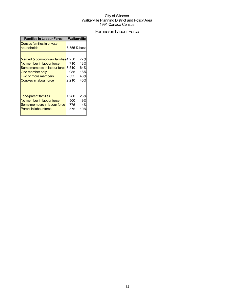## Families in Labour Force

| <b>Families in Labour Force</b>                                                                                                                                                    | Walkerville                  |                                        |  |
|------------------------------------------------------------------------------------------------------------------------------------------------------------------------------------|------------------------------|----------------------------------------|--|
| Census families in private<br>households                                                                                                                                           |                              | 5,555% base                            |  |
| Married & common-law families 4,250<br>No member in labour force<br>Some members in labour force 3.540<br>One member only<br>Two or more members<br><b>Couples in labour force</b> | 710<br>985<br>2,535<br>2,210 | 77%<br>13%<br>64%<br>18%<br>46%<br>40% |  |
| Lone-parent families<br>No member in labour force<br>Some members in labour force<br><b>Parent in labour force</b>                                                                 | 1,280<br>500<br>775<br>575   | 23%<br>9%<br>14%<br>10%                |  |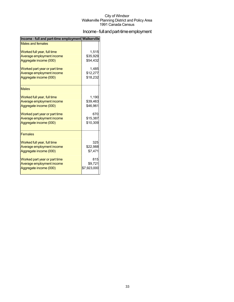## Income - full and part-time employment

| Income - full and part-time employment Walkerville |             |
|----------------------------------------------------|-------------|
| <b>Males and females</b>                           |             |
| Worked full year, full time                        | 1,515       |
| Average employment income                          | \$35,929    |
| Aggregate income (000)                             | \$54,432    |
| Worked part year or part time                      | 1,485       |
| Average employment income                          | \$12,277    |
| Aggregate income (000)                             | \$18,232    |
| <b>Males</b>                                       |             |
| Worked full year, full time                        | 1,190       |
| Average employment income                          | \$39,463    |
| Aggregate income (000)                             | \$46,961    |
| Worked part year or part time                      | 670         |
| Average employment income                          | \$15,387    |
| Aggregate income (000)                             | \$10,309    |
|                                                    |             |
| <b>Females</b>                                     |             |
| Worked full year, full time                        | 325         |
| Average employment income                          | \$22,988    |
| Aggregate income (000)                             | \$7,471     |
| Worked part year or part time                      | 815         |
| Average employment income                          | \$9,721     |
| Aggregate income (000)                             | \$7,923,000 |
|                                                    |             |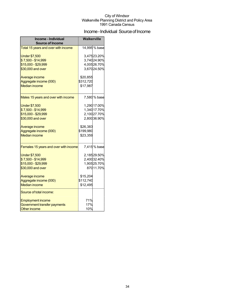## Income - Individual Source of Income

| Income - Individual<br><b>Source of Income</b> | <b>Walkerville</b> |                            |
|------------------------------------------------|--------------------|----------------------------|
| Total 15 years and over with income            |                    | 14,995 % base              |
| <b>Under \$7,500</b><br>\$7,500 - \$14,999     |                    | 3,47523.20%<br>3,74024.90% |
| \$15,000 - \$29,999                            |                    | 4,00526.70%                |
| \$30,000 and over                              |                    | 3,67024.50%                |
|                                                |                    |                            |
| Average income                                 | \$20,855           |                            |
| Aggregate income (000)                         | \$312,720          |                            |
| <b>Median income</b>                           | \$17,987           |                            |
| Males 15 years and over with income            |                    | 7,580 % base               |
| <b>Under \$7,500</b>                           |                    | 1,290 17.00%               |
| \$7,500 - \$14,999                             |                    | 1,34017.70%                |
| \$15,000 - \$29,999                            |                    | 2,10027.70%                |
| \$30,000 and over                              |                    | 2,80036.90%                |
| Average income                                 | \$26,383           |                            |
| Aggregate income (000)                         | \$199,980          |                            |
| <b>Median income</b>                           | \$23,359           |                            |
| Females 15 years and over with income          |                    | 7,415% base                |
| <b>Under \$7,500</b>                           |                    | 2,18529.50%                |
| \$7,500 - \$14,999                             |                    | 2,40032.40%                |
| \$15,000 - \$29,999                            |                    | 1,90525.70%                |
| \$30,000 and over                              |                    | 87011.70%                  |
| Average income                                 | \$15,204           |                            |
| Aggregate income (000)                         | \$112,740          |                            |
| <b>Median income</b>                           | \$12,495           |                            |
| Source of total income:                        |                    |                            |
| <b>Employment income</b>                       | 71%                |                            |
| Government transfer payments                   | 17%                |                            |
| <b>Other income</b>                            | 10%                |                            |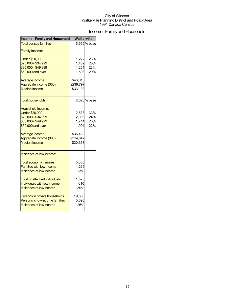## Income - Family and Household

| <b>Income - Family and Household</b>       | <b>Walkerville</b> |              |  |
|--------------------------------------------|--------------------|--------------|--|
| <b>Total census families</b>               |                    | 5,555% base  |  |
| <b>Family Income:</b>                      |                    |              |  |
| <b>Under \$20,000</b>                      | 1,272              | 23%          |  |
| \$20,000 - \$34,999<br>\$35,000 - \$49,999 | 1,409<br>1,251     | 25%<br>23%   |  |
| \$50,000 and over                          | 1,598              | 29%          |  |
|                                            |                    |              |  |
| Average income                             | \$43,013           |              |  |
| Aggregate income (000)                     | \$239,797          |              |  |
| <b>Median income</b>                       | \$33,133           |              |  |
| <b>Total households</b>                    |                    | 8,620 % base |  |
| Household Income:                          |                    |              |  |
| <b>Under \$20,000</b>                      | 2,833              | 33%          |  |
| \$20,000 - \$34,999                        | 2,095              | 24%          |  |
| \$35,000 - \$49,999                        | 1,741              | 20%          |  |
| \$50,000 and over                          | 1,901              | 22%          |  |
| Average income                             | \$36,439           |              |  |
| Aggregate income (000)                     | \$314,647          |              |  |
| Median income                              | \$30,363           |              |  |
| Incidence of low income:                   |                    |              |  |
| <b>Total economic families</b>             | 5,305              |              |  |
| <b>Families with low income</b>            | 1,235              |              |  |
| Incidence of low income                    | 23%                |              |  |
| Total unattached individuals               | 1,575              |              |  |
| Individuals with low income                | 610                |              |  |
| Incidence of low income                    | 39%                |              |  |
| Persons in private households              | 19,600             |              |  |
| Persons in low income families             | 5,095              |              |  |
| Incidence of low income                    | 26%                |              |  |